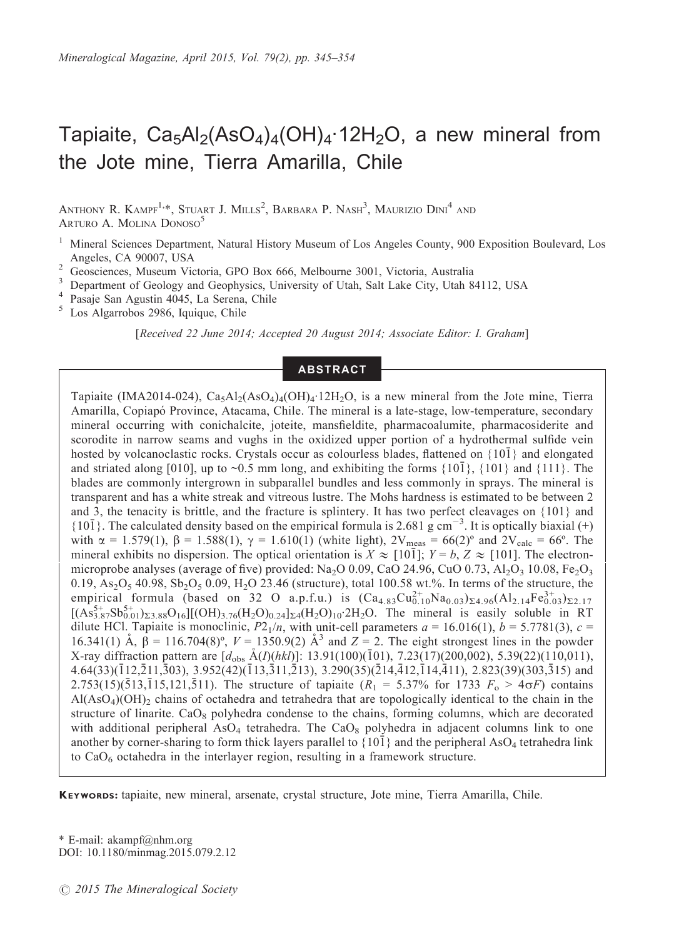# Tapiaite,  $Ca<sub>5</sub>Al<sub>2</sub>(AsO<sub>4</sub>)<sub>4</sub>(OH)<sub>4</sub>·12H<sub>2</sub>O$ , a new mineral from the Jote mine, Tierra Amarilla, Chile

ANTHONY R. KAMPF<sup>1,\*</sup>, Stuart J. Mills<sup>2</sup>, Barbara P. Nash<sup>3</sup>, Maurizio Dini<sup>4</sup> and ARTURO A. MOLINA DONOSO<sup>5</sup>

- <sup>1</sup> Mineral Sciences Department, Natural History Museum of Los Angeles County, 900 Exposition Boulevard, Los Angeles, CA 90007, USA
- 
- <sup>2</sup> Geosciences, Museum Victoria, GPO Box 666, Melbourne 3001, Victoria, Australia<br><sup>3</sup> Department of Geology and Geophysics, University of Utah, Salt Lake City, Utah 84112, USA<br><sup>4</sup> Pasaje San Agustin 4045, La Serena, Chil
- 
- 

[Received 22 June 2014; Accepted 20 August 2014; Associate Editor: I. Graham]

# ABSTRACT

Tapiaite (IMA2014-024),  $Ca_5Al_2(AsO_4)_4(OH)_4.12H_2O$ , is a new mineral from the Jote mine, Tierra Amarilla, Copiapo´ Province, Atacama, Chile. The mineral is a late-stage, low-temperature, secondary mineral occurring with conichalcite, joteite, mansfieldite, pharmacoalumite, pharmacosiderite and scorodite in narrow seams and vughs in the oxidized upper portion of a hydrothermal sulfide vein hosted by volcanoclastic rocks. Crystals occur as colourless blades, flattened on  $\{10\}$  and elongated and striated along [010], up to ~0.5 mm long, and exhibiting the forms  $\{10\}$ ,  $\{101\}$  and  $\{111\}$ . The blades are commonly intergrown in subparallel bundles and less commonly in sprays. The mineral is transparent and has a white streak and vitreous lustre. The Mohs hardness is estimated to be between 2 and 3, the tenacity is brittle, and the fracture is splintery. It has two perfect cleavages on {101} and  ${10\bar{1}}$ . The calculated density based on the empirical formula is 2.681 g cm<sup>-3</sup>. It is optically biaxial (+) with  $\alpha = 1.579(1)$ ,  $\beta = 1.588(1)$ ,  $\gamma = 1.610(1)$  (white light),  $2V_{\text{meas}} = 66(2)$ <sup>o</sup> and  $2V_{\text{calc}} = 66$ <sup>o</sup>. The mineral exhibits no dispersion. The optical orientation is  $X \approx [10\bar{1}]$ ;  $Y = b$ ,  $Z \approx [101]$ . The electronmicroprobe analyses (average of five) provided: Na<sub>2</sub>O 0.09, CaO 24.96, CuO 0.73, Al<sub>2</sub>O<sub>3</sub> 10.08, Fe<sub>2</sub>O<sub>3</sub> 0.19,  $As_2O_5$  40.98,  $Sb_2O_5$  0.09, H<sub>2</sub>O 23.46 (structure), total 100.58 wt.%. In terms of the structure, the empirical formula (based on 32 O a.p.f.u.) is  $(Ca_{4.83}Cu_{0.10}^{2+}Na_{0.03})_{\Sigma 4.96}(Al_{2.14}Fe_{0.03}^{3+})_{\Sigma 2.17}$  $[(As_{3.87}^{5+}Sb_{0.01}^{5+})_{\Sigma3.88}O_{16}][(OH)_{3.76}(H_2O)_{0.24}]_{\Sigma4}(H_2O)_{10}.2H_2O$ . The mineral is easily soluble in RT dilute HCl. Tapiaite is monoclinic,  $P2_1/n$ , with unit-cell parameters  $a = 16.016(1)$ ,  $b = 5.7781(3)$ ,  $c =$ 16.341(1) Å,  $\beta = 116.704(8)^\circ$ ,  $V = 1350.9(2)$  Å<sup>3</sup> and  $Z = 2$ . The eight strongest lines in the powder X-ray diffraction pattern are  $[d_{obs}$   $\rm{A}(I)(hk)]$ : 13.91(100)(101), 7.23(17)(200,002), 5.39(22)(110,011),  $4.64(33)(\overline{1}12,\overline{2}11,\overline{3}03)$ ,  $3.952(42)(\overline{1}13,\overline{3}11,\overline{2}13)$ ,  $3.290(35)(\overline{2}14,\overline{4}12,\overline{1}14,\overline{4}11)$ ,  $2.823(39)(303,\overline{3}15)$  and 2.753(15)(513,15,121,511). The structure of tapiaite ( $R_1 = 5.37\%$  for 1733  $F_0 > 4\sigma F$ ) contains  $Al(AsO<sub>4</sub>)(OH)<sub>2</sub>$  chains of octahedra and tetrahedra that are topologically identical to the chain in the structure of linarite.  $CaO_8$  polyhedra condense to the chains, forming columns, which are decorated with additional peripheral AsO<sub>4</sub> tetrahedra. The CaO<sub>8</sub> polyhedra in adjacent columns link to one another by corner-sharing to form thick layers parallel to  ${10\bar{1}}$  and the peripheral AsO<sub>4</sub> tetrahedra link to  $CaO<sub>6</sub>$  octahedra in the interlayer region, resulting in a framework structure.

KEYWORDS: tapiaite, new mineral, arsenate, crystal structure, Jote mine, Tierra Amarilla, Chile.

\* E-mail: akampf@nhm.org DOI: 10.1180/minmag.2015.079.2.12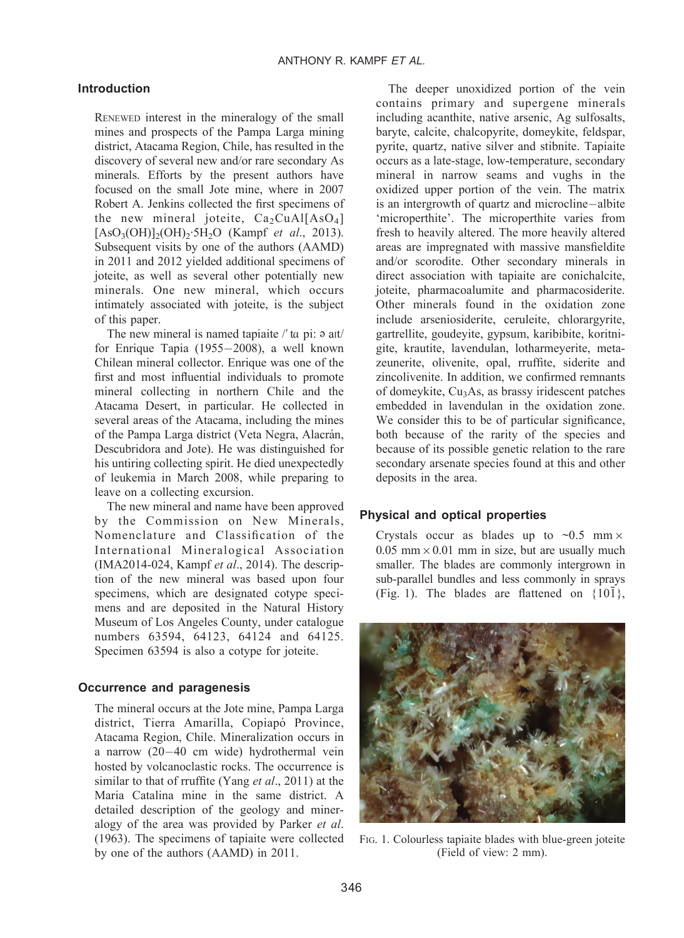# Introduction

RENEWED interest in the mineralogy of the small mines and prospects of the Pampa Larga mining district, Atacama Region, Chile, has resulted in the discovery of several new and/or rare secondary As minerals. Efforts by the present authors have focused on the small Jote mine, where in 2007 Robert A. Jenkins collected the first specimens of the new mineral joteite,  $Ca_2CuAl[AsO<sub>4</sub>]$  $[AsO<sub>3</sub>(OH)]<sub>2</sub>(OH)<sub>2</sub>·5H<sub>2</sub>O$  (Kampf *et al.*, 2013). Subsequent visits by one of the authors (AAMD) in 2011 and 2012 yielded additional specimens of joteite, as well as several other potentially new minerals. One new mineral, which occurs intimately associated with joteite, is the subject of this paper.

The new mineral is named tapiaite  $\ell'$  ta pi:  $\varphi$  ait/ for Enrique Tapia (1955-2008), a well known Chilean mineral collector. Enrique was one of the first and most influential individuals to promote mineral collecting in northern Chile and the Atacama Desert, in particular. He collected in several areas of the Atacama, including the mines of the Pampa Larga district (Veta Negra, Alacrán, Descubridora and Jote). He was distinguished for his untiring collecting spirit. He died unexpectedly of leukemia in March 2008, while preparing to leave on a collecting excursion.

The new mineral and name have been approved by the Commission on New Minerals, Nomenclature and Classification of the International Mineralogical Association (IMA2014-024, Kampf et al., 2014). The description of the new mineral was based upon four specimens, which are designated cotype specimens and are deposited in the Natural History Museum of Los Angeles County, under catalogue numbers 63594, 64123, 64124 and 64125. Specimen 63594 is also a cotype for joteite.

#### Occurrence and paragenesis

The mineral occurs at the Jote mine, Pampa Larga district, Tierra Amarilla, Copiapó Province, Atacama Region, Chile. Mineralization occurs in a narrow (20-40 cm wide) hydrothermal vein hosted by volcanoclastic rocks. The occurrence is similar to that of rruffite (Yang et al., 2011) at the Maria Catalina mine in the same district. A detailed description of the geology and mineralogy of the area was provided by Parker et al. (1963). The specimens of tapiaite were collected by one of the authors (AAMD) in 2011.

The deeper unoxidized portion of the vein contains primary and supergene minerals including acanthite, native arsenic, Ag sulfosalts, baryte, calcite, chalcopyrite, domeykite, feldspar, pyrite, quartz, native silver and stibnite. Tapiaite occurs as a late-stage, low-temperature, secondary mineral in narrow seams and vughs in the oxidized upper portion of the vein. The matrix is an intergrowth of quartz and microcline-albite 'microperthite'. The microperthite varies from fresh to heavily altered. The more heavily altered areas are impregnated with massive mansfieldite and/or scorodite. Other secondary minerals in direct association with tapiaite are conichalcite, joteite, pharmacoalumite and pharmacosiderite. Other minerals found in the oxidation zone include arseniosiderite, ceruleite, chlorargyrite, gartrellite, goudeyite, gypsum, karibibite, koritnigite, krautite, lavendulan, lotharmeyerite, metazeunerite, olivenite, opal, rruffite, siderite and zincolivenite. In addition, we confirmed remnants of domeykite, Cu3As, as brassy iridescent patches embedded in lavendulan in the oxidation zone. We consider this to be of particular significance, both because of the rarity of the species and because of its possible genetic relation to the rare secondary arsenate species found at this and other deposits in the area.

#### Physical and optical properties

Crystals occur as blades up to  $\sim 0.5$  mm $\times$  $0.05$  mm  $\times$  0.01 mm in size, but are usually much smaller. The blades are commonly intergrown in sub-parallel bundles and less commonly in sprays (Fig. 1). The blades are flattened on  ${10\overline{1}}$ ,



FIG. 1. Colourless tapiaite blades with blue-green joteite (Field of view: 2 mm).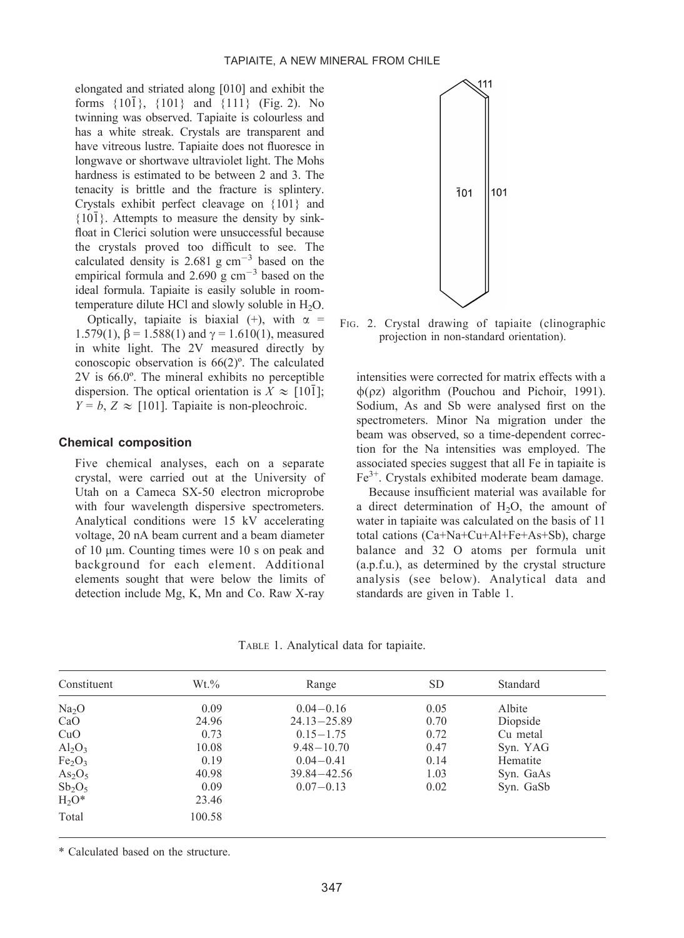elongated and striated along [010] and exhibit the forms  $\{10\overline{1}\}$ ,  $\{101\}$  and  $\{111\}$  (Fig. 2). No twinning was observed. Tapiaite is colourless and has a white streak. Crystals are transparent and have vitreous lustre. Tapiaite does not fluoresce in longwave or shortwave ultraviolet light. The Mohs hardness is estimated to be between 2 and 3. The tenacity is brittle and the fracture is splintery. Crystals exhibit perfect cleavage on {101} and  ${10\overline{1}}$ . Attempts to measure the density by sinkfloat in Clerici solution were unsuccessful because the crystals proved too difficult to see. The calculated density is 2.681 g  $\text{cm}^{-3}$  based on the empirical formula and  $2.690 \text{ g cm}^{-3}$  based on the ideal formula. Tapiaite is easily soluble in roomtemperature dilute HCl and slowly soluble in  $H_2O$ .

Optically, tapiaite is biaxial (+), with  $\alpha$  = 1.579(1),  $\beta$  = 1.588(1) and  $\gamma$  = 1.610(1), measured in white light. The 2V measured directly by conoscopic observation is 66(2)º. The calculated 2V is 66.0º. The mineral exhibits no perceptible dispersion. The optical orientation is  $X \approx [10\overline{1}];$  $Y = b$ ,  $Z \approx [101]$ . Tapiaite is non-pleochroic.

# Chemical composition

Five chemical analyses, each on a separate crystal, were carried out at the University of Utah on a Cameca SX-50 electron microprobe with four wavelength dispersive spectrometers. Analytical conditions were 15 kV accelerating voltage, 20 nA beam current and a beam diameter of 10 µm. Counting times were 10 s on peak and background for each element. Additional elements sought that were below the limits of detection include Mg, K, Mn and Co. Raw X-ray



FIG. 2. Crystal drawing of tapiaite (clinographic projection in non-standard orientation).

intensities were corrected for matrix effects with a  $\phi$ ( $oz$ ) algorithm (Pouchou and Pichoir, 1991). Sodium, As and Sb were analysed first on the spectrometers. Minor Na migration under the beam was observed, so a time-dependent correction for the Na intensities was employed. The associated species suggest that all Fe in tapiaite is  $Fe<sup>3+</sup>$ . Crystals exhibited moderate beam damage.

Because insufficient material was available for a direct determination of  $H<sub>2</sub>O$ , the amount of water in tapiaite was calculated on the basis of 11 total cations (Ca+Na+Cu+Al+Fe+As+Sb), charge balance and 32 O atoms per formula unit (a.p.f.u.), as determined by the crystal structure analysis (see below). Analytical data and standards are given in Table 1.

TABLE 1. Analytical data for tapiaite.

| Constituent                    | $Wt.\%$ | Range           | SD.  | Standard  |
|--------------------------------|---------|-----------------|------|-----------|
| Na <sub>2</sub> O              | 0.09    | $0.04 - 0.16$   | 0.05 | Albite    |
| CaO                            | 24.96   | $24.13 - 25.89$ | 0.70 | Diopside  |
| CuO                            | 0.73    | $0.15 - 1.75$   | 0.72 | Cu metal  |
| $Al_2O_3$                      | 10.08   | $9.48 - 10.70$  | 0.47 | Syn. YAG  |
| Fe <sub>2</sub> O <sub>3</sub> | 0.19    | $0.04 - 0.41$   | 0.14 | Hematite  |
| As <sub>2</sub> O <sub>5</sub> | 40.98   | $39.84 - 42.56$ | 1.03 | Syn. GaAs |
| $Sb_2O_5$                      | 0.09    | $0.07 - 0.13$   | 0.02 | Syn. GaSb |
| $H_2O^*$                       | 23.46   |                 |      |           |
| Total                          | 100.58  |                 |      |           |

\* Calculated based on the structure.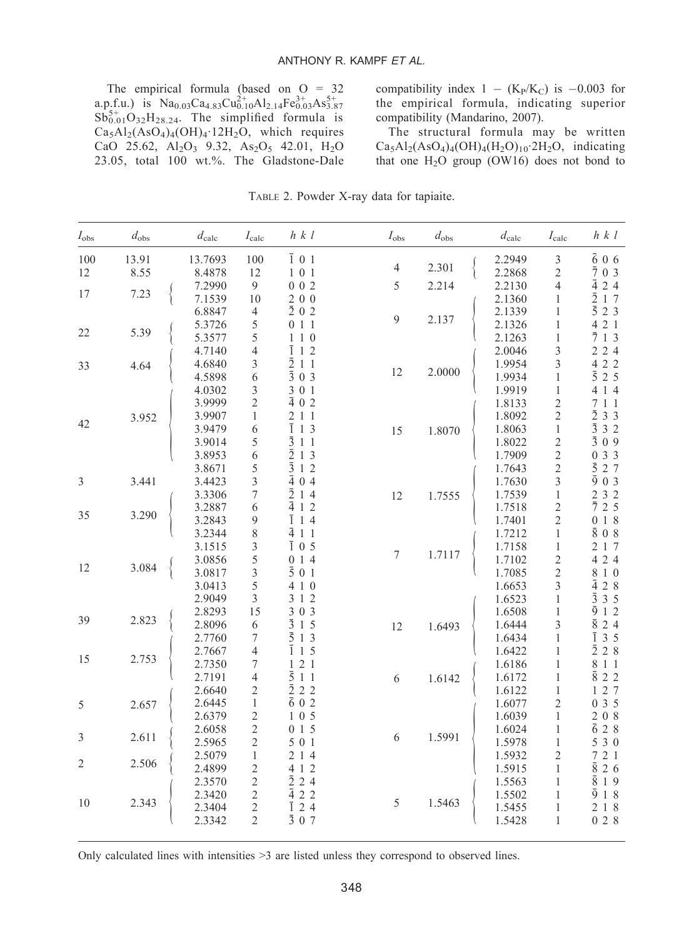The empirical formula (based on O = 32 a.p.f.u.) is  $Na<sub>0.03</sub>Ca<sub>4.83</sub>Cu<sup>2+</sup><sub>0.10</sub>Al<sub>2.14</sub>Fe<sup>3+</sup><sub>0.03</sub>As<sup>5+</sup><sub>3.87</sub>$  $Sb_{0.01}^{5+}O_{32}H_{28.24}$ . The simplified formula is  $Ca<sub>5</sub>Al<sub>2</sub>(AsO<sub>4</sub>)<sub>4</sub>(OH)<sub>4</sub>·12H<sub>2</sub>O$ , which requires CaO 25.62,  $Al_2O_3$  9.32,  $As_2O_5$  42.01,  $H_2O$ 23.05, total 100 wt.%. The Gladstone-Dale

compatibility index  $1 - (K_P/K_C)$  is  $-0.003$  for the empirical formula, indicating superior compatibility (Mandarino, 2007).

The structural formula may be written  $Ca<sub>5</sub>Al<sub>2</sub>(AsO<sub>4</sub>)<sub>4</sub>(OH)<sub>4</sub>(H<sub>2</sub>O)<sub>10</sub>·2H<sub>2</sub>O$ , indicating that one  $H_2O$  group (OW16) does not bond to

| $I_{\rm obs}$  | $d_{\text{obs}}$ | $d_{\rm calc}$ | $I_{\rm calc}$ | $h\ k\ l$          | $I_{\rm obs}$  | $d_{\text{obs}}$ | $d_{\rm calc}$ | $I_{\rm calc}$ | $h \, k \, l$       |
|----------------|------------------|----------------|----------------|--------------------|----------------|------------------|----------------|----------------|---------------------|
| 100            | 13.91            | 13.7693        | 100            | $\bar{1}$ 01       | $\overline{4}$ | 2.301            | 2.2949         | $\mathfrak{Z}$ | $\bar{6}$ 06        |
| 12             | 8.55             | 8.4878         | 12             | $1 \t0 \t1$        |                |                  | 2.2868         | 2              | 703                 |
|                |                  | 7.2990         | $\overline{9}$ | 002                | 5              | 2.214            | 2.2130         | $\overline{4}$ | $\bar{4}$ 2 4       |
| 17             | 7.23             | 7.1539         | 10             | 200                |                |                  | 2.1360         | 1              | $\bar{2}$ 1 7       |
|                |                  | 6.8847         | $\overline{4}$ | $\bar{2}$ 0 2      |                |                  | 2.1339         | 1              | $\bar{5}$ 2 3       |
|                |                  | 5.3726         | 5              | 011                | 9              | 2.137            | 2.1326         | $\mathbf{1}$   | 4 2 1               |
| 22             | 5.39             | 5.3577         | 5              | $1\ 1\ 0$          |                |                  | 2.1263         | $\mathbf{1}$   | 713                 |
|                |                  | 4.7140         | $\overline{4}$ | $\overline{1}$ 1 2 |                |                  | 2.0046         | 3              | 2 2 4               |
| 33             | 4.64             | 4.6840         | 3              | $\bar{2}$ 1 1      |                |                  | 1.9954         | 3              | 4 2 2               |
|                |                  | 4.5898         | 6              | $\bar{3}$ 0 3      | 12             | 2.0000           | 1.9934         | $\mathbf{1}$   | $\bar{5}$ 2 5       |
|                |                  | 4.0302         | 3              | 3 0 1              |                |                  | 1.9919         | $\mathbf{1}$   | 4 1 4               |
|                |                  | 3.9999         | $\overline{c}$ | $\bar{4}$ 0 2      |                |                  | 1.8133         | $\overline{c}$ | 7 1 1               |
|                | 3.952            | 3.9907         | $\mathbf{1}$   | 2 1 1              |                |                  | 1.8092         | $\mathfrak{2}$ | $\bar{2}$ 3 3       |
| 42             |                  | 3.9479         | 6              | $\overline{1}$ 1 3 | 15             | 1.8070           | 1.8063         | $\mathbf{1}$   | $\bar{3}$ 3 2       |
|                |                  | 3.9014         | 5              | $\bar{3}$ 1 1      |                |                  | 1.8022         | $\overline{c}$ | 309                 |
|                |                  | 3.8953         | 6              | $\bar{2}$ 1 3      |                |                  | 1.7909         | $\overline{c}$ | 0 3 3               |
|                |                  | 3.8671         | 5              | $\bar{3}$ 1 2      |                |                  | 1.7643         | $\sqrt{2}$     | $\bar{5}$ 2 7       |
| $\mathfrak{Z}$ | 3.441            | 3.4423         | 3              | $\bar{4}04$        |                |                  | 1.7630         | 3              | $\bar{9}03$         |
|                |                  | 3.3306         | 7              | $\bar{2}$ 1 4      | 12             | 1.7555           | 1.7539         | $\mathbf{1}$   | 2 3 2               |
|                |                  | 3.2887         | 6              | 412                |                |                  | 1.7518         | $\mathfrak{2}$ | 725                 |
| 35             | 3.290            | 3.2843         | 9              | $\overline{1}$ 1 4 |                |                  | 1.7401         | $\sqrt{2}$     | 018                 |
|                |                  | 3.2344         | 8              | $\bar{4}$ 1 1      |                |                  | 1.7212         | $\mathbf{1}$   | 808                 |
|                |                  | 3.1515         | 3              | $\overline{1}$ 0 5 |                |                  | 1.7158         | $\mathbf{1}$   | 217                 |
|                |                  | 3.0856         | 5              | 014                | $\tau$         | 1.7117           | 1.7102         | $\sqrt{2}$     | 4 2 4               |
| 12             | 3.084            | 3.0817         | 3              | $\bar{5}$ 0 1      |                |                  | 1.7085         | $\mathfrak{2}$ | 8 1 0               |
|                |                  | 3.0413         | $\sqrt{5}$     | 4 1 0              |                |                  | 1.6653         | 3              | 428                 |
|                |                  | 2.9049         | 3              | 3 1 2              |                |                  | 1.6523         | $\mathbf{1}$   | $\bar{3}$ 3 5       |
|                |                  | 2.8293         | 15             | 3 0 3              |                |                  | 1.6508         | 1              | $\bar{9}$ 1 2       |
| 39             | 2.823            | 2.8096         | 6              | $\bar{3}$ 1 5      |                |                  | 1.6444         | 3              | $\bar{8}$ 2 4       |
|                |                  | 2.7760         | 7              | $\bar{5}$ 1 3      | 12             | 1.6493           | 1.6434         | 1              | $\overline{1}$ 3 5  |
|                |                  | 2.7667         | $\overline{4}$ | $\overline{1}$ 1 5 |                |                  | 1.6422         | $\mathbf{1}$   | $\bar{2}$ 2 8       |
| 15             | 2.753            | 2.7350         | 7              | 121                |                |                  |                | $\mathbf{1}$   | 8 1 1               |
|                |                  |                | $\overline{4}$ | 511                |                |                  | 1.6186         |                | $\bar{8}$ 2 2       |
|                |                  | 2.7191         |                | $\bar{2}$ 2 2      | 6              | 1.6142           | 1.6172         | 1              | 127                 |
|                |                  | 2.6640         | $\overline{c}$ |                    |                |                  | 1.6122         | $\mathbf{1}$   |                     |
| 5              | 2.657            | 2.6445         | $\mathbf{1}$   | $\bar{6}$ 0 2      |                |                  | 1.6077         | $\overline{2}$ | 035                 |
|                |                  | 2.6379         | $\sqrt{2}$     | $1\,0\,5$          |                |                  | 1.6039         | $\mathbf{1}$   | $2\,$ 0 $\,$ 8 $\,$ |
| $\mathfrak{Z}$ | 2.611            | 2.6058         | $\sqrt{2}$     | 015                | 6              | 1.5991           | 1.6024         | $\mathbf{1}$   | $\bar{6}$ 2 8       |
|                |                  | 2.5965         | $\sqrt{2}$     | 5 0 1              |                |                  | 1.5978         | $\mathbf{1}$   | 5 3 0               |
| $\sqrt{2}$     | 2.506            | 2.5079         | $\mathbf{1}$   | 214                |                |                  | 1.5932         | $\mathfrak{2}$ | 721                 |
|                |                  | 2.4899         | $\mathfrak{2}$ | 4 1 2              |                |                  | 1.5915         | $\mathbf{1}$   | $\bar{8}$ 2 6       |
|                |                  | 2.3570         | $\mathfrak{2}$ | $\bar{2}$ 2 4      |                |                  | 1.5563         | 1              | $\overline{8}$ 19   |
| 10             | 2.343            | 2.3420         | $\sqrt{2}$     | 422                | 5              | 1.5463           | 1.5502         | $\mathbf{1}$   | $\bar{9}$ 1 8       |
|                |                  | 2.3404         | 2              | ī<br>24            |                |                  | 1.5455         | 1              | 2 1 8               |
|                |                  | 2.3342         | $\overline{c}$ | $\bar{3}$ 0 7      |                |                  | 1.5428         | $\mathbf{1}$   | 028                 |

TABLE 2. Powder X-ray data for tapiaite.

Only calculated lines with intensities >3 are listed unless they correspond to observed lines.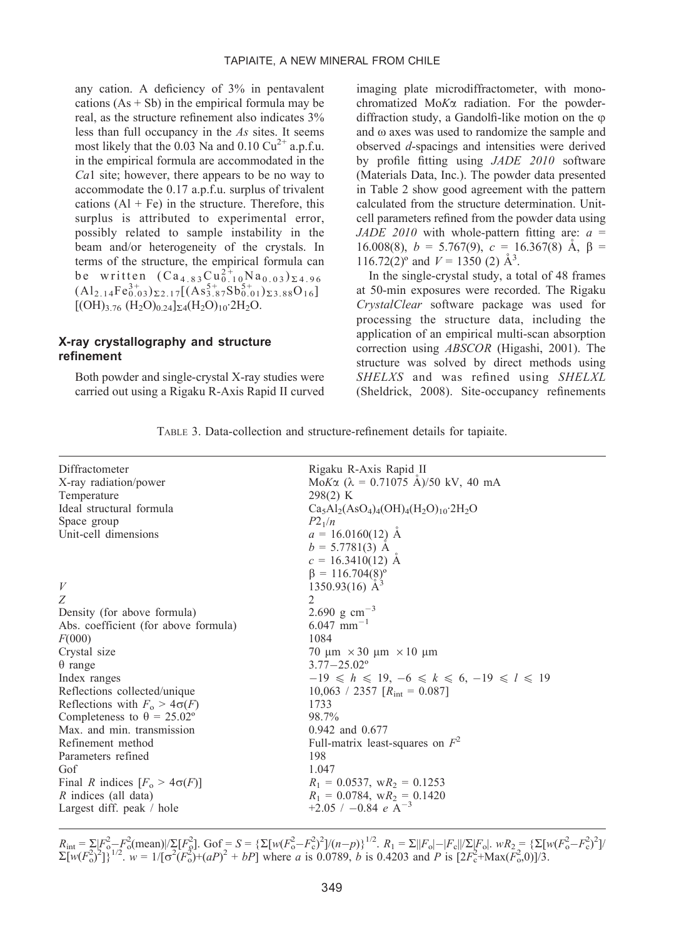any cation. A deficiency of 3% in pentavalent cations  $(As + Sb)$  in the empirical formula may be real, as the structure refinement also indicates 3% less than full occupancy in the As sites. It seems most likely that the 0.03 Na and 0.10  $Cu^{2+}$  a.p.f.u. in the empirical formula are accommodated in the Ca1 site; however, there appears to be no way to accommodate the 0.17 a.p.f.u. surplus of trivalent cations  $(A1 + Fe)$  in the structure. Therefore, this surplus is attributed to experimental error, possibly related to sample instability in the beam and/or heterogeneity of the crystals. In terms of the structure, the empirical formula can be written  $(Ca_{4.83}Cu_{0.10}^{2+}Na_{0.03})_{\Sigma_{4.96}}$  $\text{(Al}_{2.14}\text{Fe}_{0.03}^{3+}\text{)}_{\Sigma2.17}\text{[(As}_{3.87}^{5+}\text{Sb}_{0.01}^{5+}\text{)}_{\Sigma3.88}\text{O}_{16}\text{]}$  $[(OH)_{3.76} (H_2O)_{0.24}]_{\Sigma 4} (H_2O)_{10}$ <sup>2</sup>H<sub>2</sub>O.

## X-ray crystallography and structure refinement

Both powder and single-crystal X-ray studies were carried out using a Rigaku R-Axis Rapid II curved

imaging plate microdiffractometer, with monochromatized  $MoK\alpha$  radiation. For the powderdiffraction study, a Gandolfi-like motion on the  $\varphi$ and  $\omega$  axes was used to randomize the sample and observed d-spacings and intensities were derived by profile fitting using JADE 2010 software (Materials Data, Inc.). The powder data presented in Table 2 show good agreement with the pattern calculated from the structure determination. Unitcell parameters refined from the powder data using JADE 2010 with whole-pattern fitting are:  $a =$ 16.008(8),  $b = 5.767(9)$ ,  $c = 16.367(8)$  Å,  $\beta =$ 116.72(2)<sup>o</sup> and  $V = 1350$  (2)  $\AA^3$ .

In the single-crystal study, a total of 48 frames at 50-min exposures were recorded. The Rigaku CrystalClear software package was used for processing the structure data, including the application of an empirical multi-scan absorption correction using ABSCOR (Higashi, 2001). The structure was solved by direct methods using SHELXS and was refined using SHELXL (Sheldrick, 2008). Site-occupancy refinements

TABLE 3. Data-collection and structure-refinement details for tapiaite.

| Diffractometer                           | Rigaku R-Axis Rapid II                               |
|------------------------------------------|------------------------------------------------------|
| X-ray radiation/power                    | MoK $\alpha$ ( $\lambda$ = 0.71075 Å)/50 kV, 40 mA   |
| Temperature                              | 298(2) K                                             |
| Ideal structural formula                 | $Ca5Al2(AsO4)4(OH)4(H2O)10·2H2O$                     |
| Space group                              | $P2_1/n$                                             |
| Unit-cell dimensions                     | $a = 16.0160(12)$ Å                                  |
|                                          | $b = 5.7781(3)$ Å                                    |
|                                          | $c = 16.3410(12)$ A                                  |
|                                          | $\beta = 116.704(8)^{\circ}$                         |
| V                                        | 1350.93(16) $\AA^3$                                  |
| Ζ                                        | 2                                                    |
| Density (for above formula)              | 2.690 g cm <sup>-3</sup>                             |
| Abs. coefficient (for above formula)     | $6.047$ mm <sup>-1</sup>                             |
| F(000)                                   | 1084                                                 |
| Crystal size                             | 70 $\mu$ m $\times$ 30 $\mu$ m $\times$ 10 $\mu$ m   |
| $\theta$ range                           | $3.77 - 25.02^{\circ}$                               |
| Index ranges                             | $-19 \le h \le 19, -6 \le k \le 6, -19 \le l \le 19$ |
| Reflections collected/unique             | 10,063 / 2357 $[R_{\text{int}} = 0.087]$             |
| Reflections with $F_0 > 4\sigma(F)$      | 1733                                                 |
| Completeness to $\theta = 25.02^{\circ}$ | 98.7%                                                |
| Max. and min. transmission               | 0.942 and 0.677                                      |
| Refinement method                        | Full-matrix least-squares on $F^2$                   |
| Parameters refined                       | 198                                                  |
| Gof                                      | 1.047                                                |
| Final R indices $[F_0 > 4\sigma(F)]$     | $R_1 = 0.0537$ , w $R_2 = 0.1253$                    |
| R indices (all data)                     | $R_1 = 0.0784$ , w $R_2 = 0.1420$                    |
| Largest diff. peak / hole                | $+2.05$ / $-0.84$ e A <sup>-3</sup>                  |
|                                          |                                                      |

 $R_{\text{int}} = \sum_{n} [F_{o}^2 - F_{o}^2(\text{mean})] / \sum_{n} [F_{o}^2]$ . Gof =  $S = \{\sum_{n} [w(F_{o}^2 - F_{c}^2)^2] / (n-p)\}^{1/2}$ .  $R_1 = \sum_{n} |F_{o}| - |F_{c}| / \sum_{n} [F_{o}]$ .  $wR_2 = \{\sum_{n} [w(F_{o}^2 - F_{c}^2)^2] / (n-p)\}^{1/2}$ .  $R_3 = \sum_{n} [F_{o}^2 - F_{n}^2]$  $\sum [w(F_0^2)^2]_3^{1/2}$ .  $w = 1/[\sigma^2(F_0^2) + (aP)^2 + bP]$  where a is 0.0789, b is 0.4203 and P is  $[2F_c^2 + Max(F_0^2, 0)]/3$ .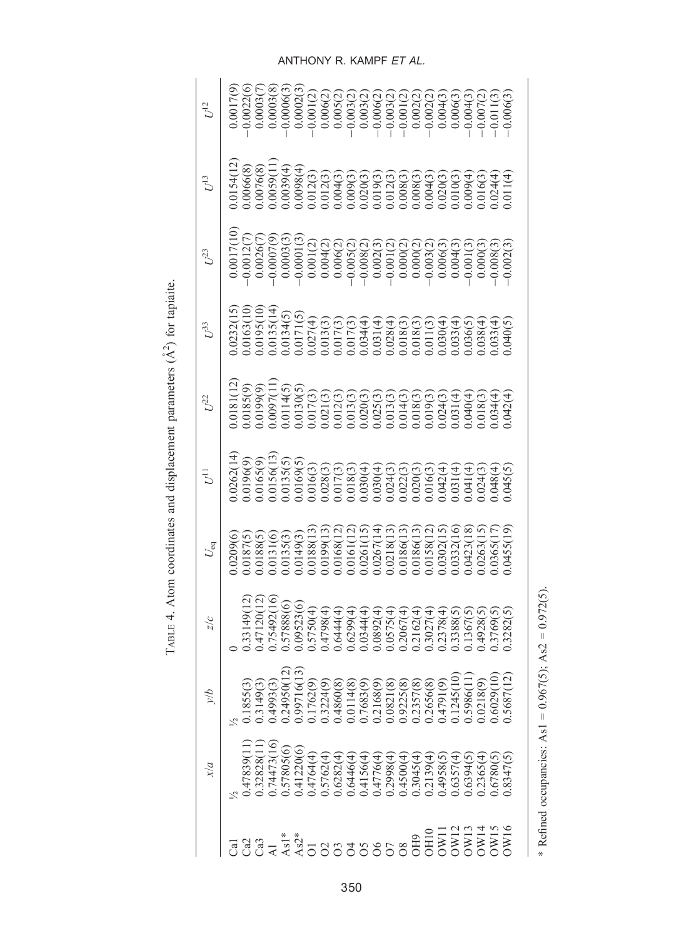| ï<br>$\frac{1}{2}$<br>j                                             |
|---------------------------------------------------------------------|
| 4<br>$\epsilon$<br>ï                                                |
| ï                                                                   |
| Atom accuding and digulation and movimation<br>ì                    |
| į                                                                   |
|                                                                     |
| ׇ֧֧֧֧֧֡֬֝֬֝֬֝֬֝֬֝֬֝֬֝֬֝֬֝֬֝֬֝֬֝֬֝֬֝֬֝֬֝֬֝֓֝֬֝֬֝֓֝֬֝֬֝֬֝֓֝֬֝֬֝֬֝֬֝֬֝ |
| T 1                                                                 |

| $U^{12}$             |                                                                                                                                                                                                                                                                                                                                                                                                                                                                                                                                                          |
|----------------------|----------------------------------------------------------------------------------------------------------------------------------------------------------------------------------------------------------------------------------------------------------------------------------------------------------------------------------------------------------------------------------------------------------------------------------------------------------------------------------------------------------------------------------------------------------|
| $U^{13}$             |                                                                                                                                                                                                                                                                                                                                                                                                                                                                                                                                                          |
| $L^{23}$             | $(5)$ $(5)$ $(5)$ $(5)$ $(5)$ $(5)$ $(5)$ $(5)$ $(5)$ $(5)$ $(5)$ $(5)$ $(5)$ $(5)$ $(5)$ $(5)$ $(5)$ $(5)$ $(5)$ $(5)$ $(5)$ $(5)$ $(5)$ $(5)$ $(5)$ $(5)$ $(5)$ $(5)$ $(5)$ $(5)$ $(5)$ $(5)$ $(5)$ $(5)$ $(5)$ $(5)$ $(5)$                                                                                                                                                                                                                                                                                                                            |
| $U^{33}$             | $(5)$<br>$(20)$<br>$(30)$<br>$(4)$<br>$(5)$<br>$(6)$<br>$(7)$<br>$(8)$<br>$(9)$<br>$(10)$<br>$(10)$<br>$(10)$<br>$(10)$<br>$(10)$<br>$(10)$<br>$(10)$<br>$(10)$<br>$(10)$<br>$(10)$<br>$(10)$<br>$(10)$<br>$(10)$<br>$(10)$<br>$(10)$<br>$(10)$<br>$(10)$<br>$(10)$<br>$(10)$<br>$(10)$<br>$(10)$<br>$(10)$<br>$(10)$<br>$(10$                                                                                                                                                                                                                           |
| $U^{22}$             |                                                                                                                                                                                                                                                                                                                                                                                                                                                                                                                                                          |
| $\bar{U}^1$          |                                                                                                                                                                                                                                                                                                                                                                                                                                                                                                                                                          |
| $U_{\rm eq}$         |                                                                                                                                                                                                                                                                                                                                                                                                                                                                                                                                                          |
| $\frac{c}{\sqrt{2}}$ | $\begin{smallmatrix} (1) \\ 0.47120 (12) \\ 0.75492 (16) \\ 0.75492 (6) \\ 0.67888 (6) \\ 0.67888 (6) \\ 0.678844 (6) \\ 0.678844 (6) \\ 0.68934 (6) \\ 0.67884 (6) \\ 0.67884 (6) \\ 0.67882 (6) \\ 0.67882 (6) \\ 0.67882 (6) \\ 0.67882 (6) \\ 0.67882 (6) \\ 0.67882 (6) \\ 0.67882 (6) \\ 0$<br>133149(12                                                                                                                                                                                                                                           |
| $\eta/\Lambda$       | $\begin{smallmatrix} 1.1855(3)\\ 0.1349(3)\\ 0.3493(3)\\ 0.4993(3)\\ 0.6493(3)\\ 0.762(9)\\ 0.1762(9)\\ 0.1762(9)\\ 0.1762(9)\\ 0.1762(9)\\ 0.1762(9)\\ 0.1762(9)\\ 0.17683(9)\\ 0.17683(9)\\ 0.17683(9)\\ 0.17683(9)\\ 0.17683(9)\\ 0.1768(9)\\ 0.1768(9)\\ $                                                                                                                                                                                                                                                                                           |
| x/a                  | .74473(16)<br>11)(47839)<br>.32828(11<br>.57805(6)<br>0.41220(6)<br>$\begin{array}{l} 0.5762(4)\\ 0.5762(4)\\ 0.6282(4)\\ 0.6446(4)\\ 0.4156(4)\\ 0.4156(4)\\ 0.2308(4)\\ 0.2308(4)\\ 0.2308(5)\\ 0.2308(5)\\ 0.2308(5)\\ 0.2308(5)\\ 0.2308(5)\\ 0.2304(5)\\ 0.2304(5)\\ 0.2304(5)\\ 0.2304(5)\\ 0.2304(5)\\ 0.2304(5)\\ 0.2$<br>0.4764(4)<br>0.2365(4)<br>0.8347(5)<br>.6780(5)                                                                                                                                                                        |
|                      | $\begin{array}{l} \texttt{diag} \\ \texttt{diag} \\ \texttt{diag} \\ \texttt{diag} \\ \texttt{diag} \\ \texttt{diag} \\ \texttt{diag} \\ \texttt{diag} \\ \texttt{diag} \\ \texttt{diag} \\ \texttt{diag} \\ \texttt{diag} \\ \texttt{diag} \\ \texttt{diag} \\ \texttt{diag} \\ \texttt{diag} \\ \texttt{diag} \\ \texttt{diag} \\ \texttt{diag} \\ \texttt{diag} \\ \texttt{diag} \\ \texttt{diag} \\ \texttt{diag} \\ \texttt{diag} \\ \texttt{diag} \\ \texttt{diag} \\ \texttt{diag} \\ \texttt{diag} \\ \texttt{diag} \\ \texttt{diag} \\ \texttt$ |

ANTHONY R. KAMPF ET AL.

\* Refined occupancies: As1 =  $0.967(5)$ ; As2 =  $0.972(5)$ .

\* Refined occupancies: As1 =  $0.967(5)$ ; As2 =  $0.972(5)$ .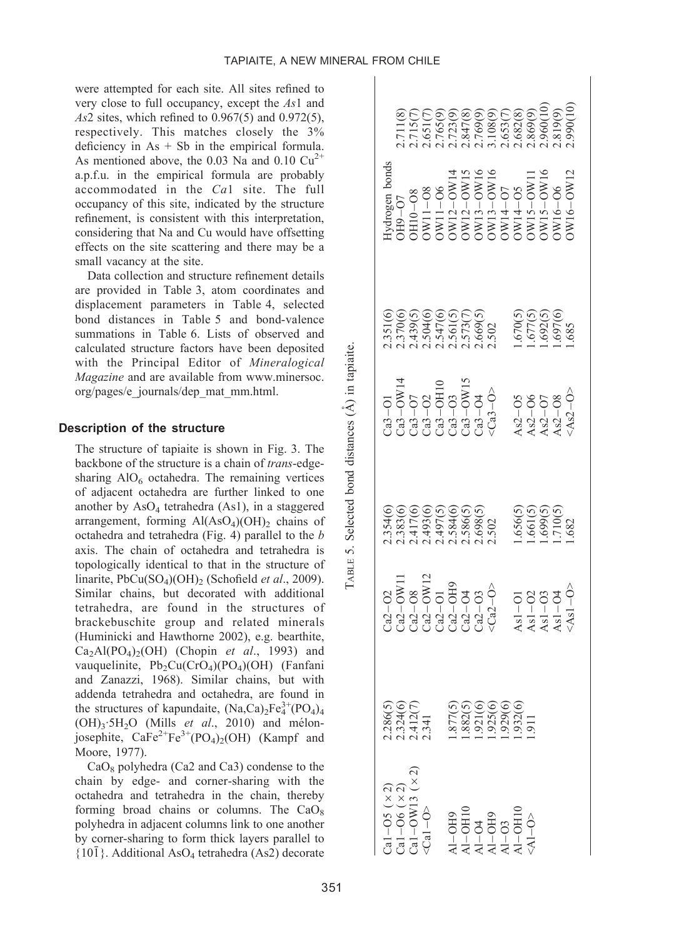were attempted for each site. All sites refined to very close to full occupancy, except the As1 and  $As2$  sites, which refined to 0.967(5) and 0.972(5), respectively. This matches closely the 3% deficiency in  $As + Sb$  in the empirical formula. As mentioned above, the 0.03 Na and 0.10  $Cu^{2+}$ a.p.f.u. in the empirical formula are probably accommodated in the Ca1 site. The full occupancy of this site, indicated by the structure refinement, is consistent with this interpretation, considering that Na and Cu would have offsetting effects on the site scattering and there may be a small vacancy at the site.

Data collection and structure refinement details are provided in Table 3, atom coordinates and displacement parameters in Table 4, selected bond distances in Table 5 and bond-valence summations in Table 6. Lists of observed and calculated structure factors have been deposited with the Principal Editor of Mineralogical Magazine and are available from www.minersoc. org/pages/e\_journals/dep\_mat\_mm.html.

## Description of the structure

The structure of tapiaite is shown in Fig. 3. The backbone of the structure is a chain of *trans-edge*sharing  $AIO<sub>6</sub>$  octahedra. The remaining vertices of adjacent octahedra are further linked to one another by  $AsO<sub>4</sub>$  tetrahedra (As1), in a staggered arrangement, forming  $Al(AsO<sub>4</sub>)(OH)_{2}$  chains of octahedra and tetrahedra (Fig. 4) parallel to the b axis. The chain of octahedra and tetrahedra is topologically identical to that in the structure of linarite,  $PbCu(SO<sub>4</sub>)(OH)$ <sub>2</sub> (Schofield *et al.*, 2009). Similar chains, but decorated with additional tetrahedra, are found in the structures of brackebuschite group and related minerals (Huminicki and Hawthorne 2002), e.g. bearthite,  $Ca<sub>2</sub>Al(PO<sub>4</sub>)<sub>2</sub>(OH)$  (Chopin et al., 1993) and vauquelinite,  $Pb_2Cu(CrO_4)(PO_4)(OH)$  (Fanfani and Zanazzi, 1968). Similar chains, but with addenda tetrahedra and octahedra, are found in the structures of kapundaite,  $(Na,Ca)_{2}Fe^{3+}_{4}(PO_{4})_{4}$  $(OH)<sub>3</sub>·5H<sub>2</sub>O$  (Mills *et al.*, 2010) and mélonjosephite,  $\text{CaFe}^{2+}\text{Fe}^{3+}(\text{PO}_4)_2(\text{OH})$  (Kampf and Moore, 1977).

 $CaO_8$  polyhedra (Ca2 and Ca3) condense to the chain by edge- and corner-sharing with the octahedra and tetrahedra in the chain, thereby forming broad chains or columns. The  $CaO<sub>8</sub>$ polyhedra in adjacent columns link to one another by corner-sharing to form thick layers parallel to  ${10\overline{1}}$ . Additional AsO<sub>4</sub> tetrahedra (As2) decorate

| Cal -O5 $(x 2)$<br>Cal -O6 $(x 2)$<br>Cal -OW13 $(x 2)$<br><cal -o=""></cal>                                                                                                                                                                                                                       |                                                                |                                                                                                                                                                                                                                                                                                                                                                                                                     |                                                                                                        |                                                                                                                                                                                                                                                                                                                                                                                                                                                                                                              |                                                                     |                                                                                                                                                                                                            |  |
|----------------------------------------------------------------------------------------------------------------------------------------------------------------------------------------------------------------------------------------------------------------------------------------------------|----------------------------------------------------------------|---------------------------------------------------------------------------------------------------------------------------------------------------------------------------------------------------------------------------------------------------------------------------------------------------------------------------------------------------------------------------------------------------------------------|--------------------------------------------------------------------------------------------------------|--------------------------------------------------------------------------------------------------------------------------------------------------------------------------------------------------------------------------------------------------------------------------------------------------------------------------------------------------------------------------------------------------------------------------------------------------------------------------------------------------------------|---------------------------------------------------------------------|------------------------------------------------------------------------------------------------------------------------------------------------------------------------------------------------------------|--|
|                                                                                                                                                                                                                                                                                                    |                                                                |                                                                                                                                                                                                                                                                                                                                                                                                                     |                                                                                                        |                                                                                                                                                                                                                                                                                                                                                                                                                                                                                                              |                                                                     |                                                                                                                                                                                                            |  |
|                                                                                                                                                                                                                                                                                                    |                                                                |                                                                                                                                                                                                                                                                                                                                                                                                                     |                                                                                                        |                                                                                                                                                                                                                                                                                                                                                                                                                                                                                                              |                                                                     |                                                                                                                                                                                                            |  |
|                                                                                                                                                                                                                                                                                                    | 2.286(5)<br>2.324(6)<br>2.412(7)<br>2.341                      |                                                                                                                                                                                                                                                                                                                                                                                                                     |                                                                                                        |                                                                                                                                                                                                                                                                                                                                                                                                                                                                                                              |                                                                     |                                                                                                                                                                                                            |  |
|                                                                                                                                                                                                                                                                                                    |                                                                |                                                                                                                                                                                                                                                                                                                                                                                                                     |                                                                                                        |                                                                                                                                                                                                                                                                                                                                                                                                                                                                                                              |                                                                     |                                                                                                                                                                                                            |  |
| $\begin{array}{l} \mathrm{Al}-\mathrm{OH}^3\\ \mathrm{Al}-\mathrm{OH}^1\\ \mathrm{Al}-\mathrm{OH}\\ \mathrm{Al}-\mathrm{OH}\\ \mathrm{Al}-\mathrm{OH}\\ \mathrm{Al}-\mathrm{OH}\\ \mathrm{Al}-\mathrm{OH}\\ \mathrm{Al}-\mathrm{OH}\\ \mathrm{Al}-\mathrm{OH}\\ \mathrm{Al}-\mathrm{O}\end{array}$ | 1.877(5)<br>1.882(5)<br>1.921(6)<br>1.929(6)<br>1.911<br>1.911 | $\begin{array}{l} \texttt{G12-08} \\ \texttt{G23-08} \\ \texttt{G32-08} \\ \texttt{G13-08} \\ \texttt{G23-08} \\ \texttt{G24-08} \\ \texttt{G34-08} \\ \texttt{G24-03} \\ \texttt{G24-03} \\ \texttt{G34-03} \\ \texttt{G34-03} \\ \texttt{G34-03} \end{array}$                                                                                                                                                     | $2.354(6)$<br>$2.383(6)$<br>$2.417(6)$<br>$2.493(6)$<br>$2.497(5)$<br>$2.584(6)$<br>$2.502$<br>$2.502$ | $\begin{array}{l} \text{Ca} = \begin{array}{l} \text{Ca} = \begin{array}{l} \text{Ca} = \begin{array}{l} \text{Ca} = \begin{array}{l} \text{Ca} = \begin{array}{l} \text{Ca} = \begin{array}{l} \text{Ca} = \begin{array}{l} \text{Ca} = \begin{array}{l} \text{Ca} = \begin{array}{l} \text{Ca} = \begin{array}{l} \text{Ca} = \begin{array}{l} \text{Ca} = \begin{array}{l} \text{Ca} = \begin{array}{l} \text{Ca} = \begin{array}{l} \text{Ca} = \begin{array}{l} \text{Ca} = \begin{array}{l} \text{Ca}$ | 2.351(6)<br>2.370(6)<br>2.370(6)<br>2.347(6)<br>2.37373(5)<br>2.302 | Hydrogen bonds<br>OH9--O7<br>OH9--O7<br>OH10--O8<br>OW11--O8<br>OW11--O6<br>OW12--OW15<br>OW13--OW16<br>OW14--O7<br>OW14--O7<br>OW15-OW14<br>OW15-OW15<br>OW15-OW15<br>OW15-OW15<br>OW15-OW15<br>OW15-OW15 |  |
|                                                                                                                                                                                                                                                                                                    |                                                                |                                                                                                                                                                                                                                                                                                                                                                                                                     |                                                                                                        |                                                                                                                                                                                                                                                                                                                                                                                                                                                                                                              |                                                                     |                                                                                                                                                                                                            |  |
|                                                                                                                                                                                                                                                                                                    |                                                                |                                                                                                                                                                                                                                                                                                                                                                                                                     |                                                                                                        |                                                                                                                                                                                                                                                                                                                                                                                                                                                                                                              |                                                                     |                                                                                                                                                                                                            |  |
|                                                                                                                                                                                                                                                                                                    |                                                                |                                                                                                                                                                                                                                                                                                                                                                                                                     |                                                                                                        |                                                                                                                                                                                                                                                                                                                                                                                                                                                                                                              |                                                                     |                                                                                                                                                                                                            |  |
|                                                                                                                                                                                                                                                                                                    |                                                                |                                                                                                                                                                                                                                                                                                                                                                                                                     |                                                                                                        |                                                                                                                                                                                                                                                                                                                                                                                                                                                                                                              |                                                                     |                                                                                                                                                                                                            |  |
|                                                                                                                                                                                                                                                                                                    |                                                                |                                                                                                                                                                                                                                                                                                                                                                                                                     |                                                                                                        |                                                                                                                                                                                                                                                                                                                                                                                                                                                                                                              |                                                                     |                                                                                                                                                                                                            |  |
|                                                                                                                                                                                                                                                                                                    |                                                                |                                                                                                                                                                                                                                                                                                                                                                                                                     |                                                                                                        |                                                                                                                                                                                                                                                                                                                                                                                                                                                                                                              |                                                                     |                                                                                                                                                                                                            |  |
|                                                                                                                                                                                                                                                                                                    |                                                                | $\begin{array}{l} \text{As} \, \text{I} \, \text{-} \text{O1} \\ \text{As} \, \text{I} \, \text{-} \text{O2} \\ \text{As} \, \text{I} \, \text{-} \text{O3} \\ \text{As} \, \text{I} \, \text{-} \text{O4} \\ \text{As} \, \text{I} \, \text{-} \text{O4} \\ \text{As} \, \text{I} \, \text{-} \text{O4} \\ \text{A} \, \text{S1} \, \text{-} \text{O5} \\ \text{A} \, \text{S1} \, \text{-} \text{O5} \end{array}$ | 1.656(5)<br>1.661(5)<br>1.699(5)<br>1.682<br>1.682                                                     | As2-O5<br>As2-O6<br>As2-O7<br>As2-O8<br><as2-o></as2-o>                                                                                                                                                                                                                                                                                                                                                                                                                                                      | 670(5)<br>677(5)<br>672(6)<br>685                                   |                                                                                                                                                                                                            |  |
|                                                                                                                                                                                                                                                                                                    |                                                                |                                                                                                                                                                                                                                                                                                                                                                                                                     |                                                                                                        |                                                                                                                                                                                                                                                                                                                                                                                                                                                                                                              |                                                                     |                                                                                                                                                                                                            |  |
|                                                                                                                                                                                                                                                                                                    |                                                                |                                                                                                                                                                                                                                                                                                                                                                                                                     |                                                                                                        |                                                                                                                                                                                                                                                                                                                                                                                                                                                                                                              |                                                                     |                                                                                                                                                                                                            |  |
|                                                                                                                                                                                                                                                                                                    |                                                                |                                                                                                                                                                                                                                                                                                                                                                                                                     |                                                                                                        |                                                                                                                                                                                                                                                                                                                                                                                                                                                                                                              |                                                                     |                                                                                                                                                                                                            |  |

 $\overline{1}$ 

TABLE 5. Selected bond distances  $(\hat{A})$  in tapiaite.

TABLE 5. Selected bond distances (A) in tapiaite.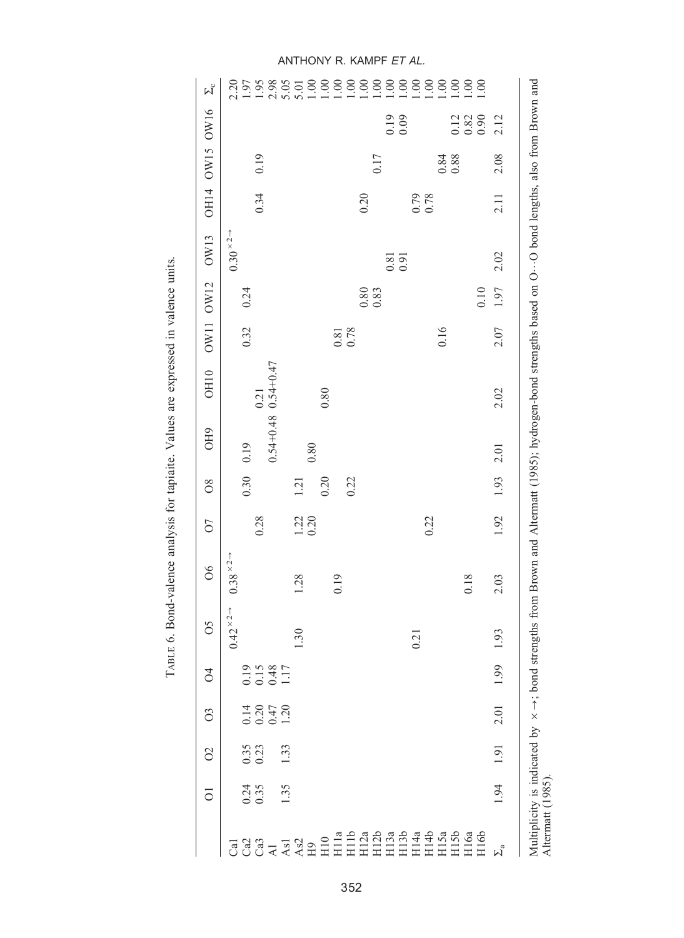|                                                                                                                                                                                                                                                                                                                                                                                                                                                                  | ō              | $\delta$         | S                   | $\beta$                     | SO                          | $\delta$                    | 07             | $\frac{8}{2}$ | OH <sub>9</sub>       | OH <sub>10</sub> | OW11                | <b>OW12</b>                                 | OW13                                        |              | OH14 OW15 | OW16                                             | $\Sigma_c$ |
|------------------------------------------------------------------------------------------------------------------------------------------------------------------------------------------------------------------------------------------------------------------------------------------------------------------------------------------------------------------------------------------------------------------------------------------------------------------|----------------|------------------|---------------------|-----------------------------|-----------------------------|-----------------------------|----------------|---------------|-----------------------|------------------|---------------------|---------------------------------------------|---------------------------------------------|--------------|-----------|--------------------------------------------------|------------|
|                                                                                                                                                                                                                                                                                                                                                                                                                                                                  |                |                  |                     |                             | $0.42 \times 2 \rightarrow$ | $0.38 \times 2 \rightarrow$ |                |               |                       |                  |                     |                                             | $0.30 \times 2 \rightarrow$                 |              |           |                                                  |            |
|                                                                                                                                                                                                                                                                                                                                                                                                                                                                  |                |                  |                     |                             |                             |                             |                | 0.30          | 0.19                  |                  | 0.32                | 0.24                                        |                                             |              |           |                                                  |            |
|                                                                                                                                                                                                                                                                                                                                                                                                                                                                  | $0.24$<br>0.35 | $0.35$<br>$0.23$ |                     |                             |                             |                             | 0.28           |               |                       | 0.21             |                     |                                             |                                             | 0.34         | 0.19      |                                                  |            |
|                                                                                                                                                                                                                                                                                                                                                                                                                                                                  |                |                  | 14<br>0.347<br>0.47 | $0.15$<br>$0.148$<br>$0.17$ |                             |                             |                |               | $0.54+0.48$ 0.54+0.47 |                  |                     |                                             |                                             |              |           |                                                  |            |
|                                                                                                                                                                                                                                                                                                                                                                                                                                                                  | 1.35           | 1.33             |                     |                             |                             |                             |                |               |                       |                  |                     |                                             |                                             |              |           |                                                  |            |
|                                                                                                                                                                                                                                                                                                                                                                                                                                                                  |                |                  |                     |                             | 1.30                        | 1.28                        | $1.22$<br>0.20 | 1.21          | 0.80                  |                  |                     |                                             |                                             |              |           |                                                  |            |
|                                                                                                                                                                                                                                                                                                                                                                                                                                                                  |                |                  |                     |                             |                             |                             |                | 0.20          |                       | 0.80             |                     |                                             |                                             |              |           |                                                  |            |
|                                                                                                                                                                                                                                                                                                                                                                                                                                                                  |                |                  |                     |                             |                             | 0.19                        |                |               |                       |                  |                     |                                             |                                             |              |           |                                                  |            |
|                                                                                                                                                                                                                                                                                                                                                                                                                                                                  |                |                  |                     |                             |                             |                             |                | 0.22          |                       |                  | $\frac{0.81}{0.78}$ |                                             |                                             |              |           |                                                  |            |
|                                                                                                                                                                                                                                                                                                                                                                                                                                                                  |                |                  |                     |                             |                             |                             |                |               |                       |                  |                     | $\begin{array}{c} 0.80 \\ 0.83 \end{array}$ |                                             | 0.20         |           |                                                  |            |
|                                                                                                                                                                                                                                                                                                                                                                                                                                                                  |                |                  |                     |                             |                             |                             |                |               |                       |                  |                     |                                             |                                             |              | 0.17      |                                                  |            |
| $G \circ G \circ G \prec \tilde{A} \circ \tilde{B} \circ \tilde{B} \circ \tilde{B} \circ \tilde{B} \circ \tilde{B} \circ \tilde{B} \circ \tilde{B} \circ \tilde{B} \circ \tilde{B} \circ \tilde{B} \circ \tilde{B} \circ \tilde{B} \circ \tilde{B} \circ \tilde{B} \circ \tilde{B} \circ \tilde{B} \circ \tilde{B} \circ \tilde{B} \circ \tilde{B} \circ \tilde{B} \circ \tilde{B} \circ \tilde{B} \circ \tilde{B} \circ \tilde{B} \circ \tilde{B} \circ \tilde$ |                |                  |                     |                             |                             |                             |                |               |                       |                  |                     |                                             | $\begin{array}{c} 0.81 \\ 0.91 \end{array}$ |              |           | $0.19$<br>$0.09$                                 |            |
|                                                                                                                                                                                                                                                                                                                                                                                                                                                                  |                |                  |                     |                             | 0.21                        |                             |                |               |                       |                  |                     |                                             |                                             |              |           |                                                  |            |
|                                                                                                                                                                                                                                                                                                                                                                                                                                                                  |                |                  |                     |                             |                             |                             | 0.22           |               |                       |                  |                     |                                             |                                             | 0.79<br>0.78 |           |                                                  |            |
|                                                                                                                                                                                                                                                                                                                                                                                                                                                                  |                |                  |                     |                             |                             |                             |                |               |                       |                  | 0.16                |                                             |                                             |              |           |                                                  |            |
|                                                                                                                                                                                                                                                                                                                                                                                                                                                                  |                |                  |                     |                             |                             |                             |                |               |                       |                  |                     |                                             |                                             |              | 0.88      |                                                  |            |
|                                                                                                                                                                                                                                                                                                                                                                                                                                                                  |                |                  |                     |                             |                             | 0.18                        |                |               |                       |                  |                     |                                             |                                             |              |           | $\begin{array}{c} 2.3 \\ 0.3 \\ 0.9 \end{array}$ |            |
|                                                                                                                                                                                                                                                                                                                                                                                                                                                                  |                |                  |                     |                             |                             |                             |                |               |                       |                  |                     | 0.10                                        |                                             |              |           |                                                  |            |
| $\Sigma_{\rm a}$                                                                                                                                                                                                                                                                                                                                                                                                                                                 | 1.94           | 1.91             | 2.01                | 1.99                        | 1.93                        | 2.03                        | 1.92           | 1.93          | 2.01                  | 2.02             | 2.07                | 1.97                                        | 2.02                                        | 2.11         | 2.08      | 2.12                                             |            |

TABLE 6. Bond-valence analysis for tapiaite. Values are expressed in valence units. TABLE 6. Bond-valence analysis for tapiaite. Values are expressed in valence units.

ANTHONY R. KAMPF ET AL.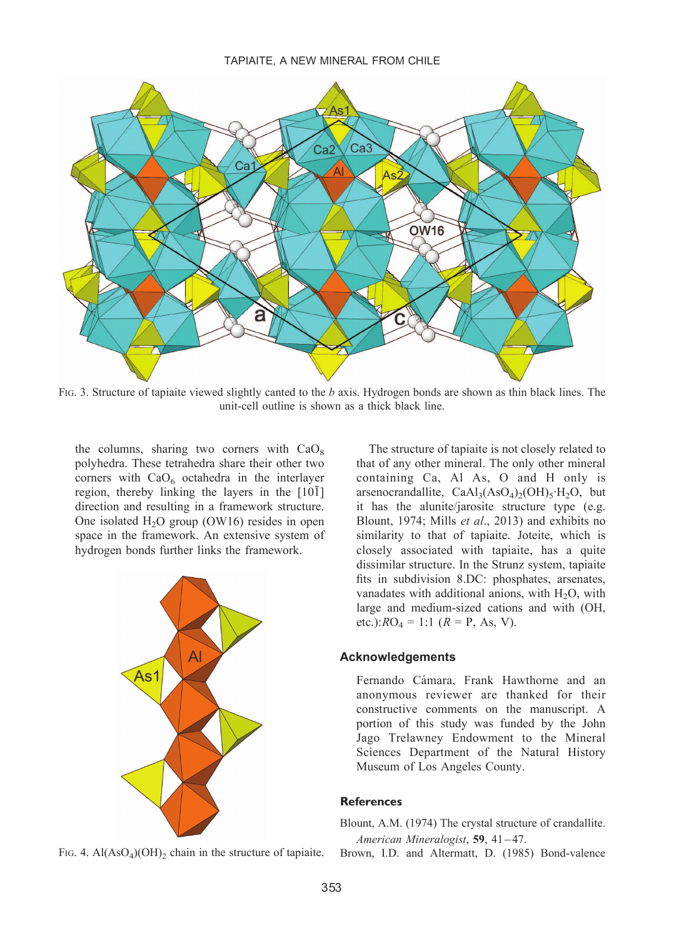

FIG. 3. Structure of tapiaite viewed slightly canted to the b axis. Hydrogen bonds are shown as thin black lines. The unit-cell outline is shown as a thick black line.

the columns, sharing two corners with  $CaO<sub>8</sub>$ polyhedra. These tetrahedra share their other two corners with  $CaO<sub>6</sub>$  octahedra in the interlayer region, thereby linking the layers in the  $[10\overline{1}]$ direction and resulting in a framework structure. One isolated  $H<sub>2</sub>O$  group (OW16) resides in open space in the framework. An extensive system of hydrogen bonds further links the framework.



FIG. 4. Al $(AsO<sub>4</sub>)(OH)$ <sub>2</sub> chain in the structure of tapiaite.

The structure of tapiaite is not closely related to that of any other mineral. The only other mineral containing Ca, Al As, O and H only is arsenocrandallite,  $CaAl<sub>3</sub>(AsO<sub>4</sub>)<sub>2</sub>(OH)<sub>5</sub>·H<sub>2</sub>O$ , but it has the alunite/jarosite structure type (e.g. Blount, 1974; Mills et al., 2013) and exhibits no similarity to that of tapiaite. Joteite, which is closely associated with tapiaite, has a quite dissimilar structure. In the Strunz system, tapiaite fits in subdivision 8.DC: phosphates, arsenates, vanadates with additional anions, with  $H_2O$ , with large and medium-sized cations and with (OH, etc.): $RO_4 = 1:1$  ( $R = P$ , As, V).

#### Acknowledgements

Fernando Cámara, Frank Hawthorne and an anonymous reviewer are thanked for their constructive comments on the manuscript. A portion of this study was funded by the John Jago Trelawney Endowment to the Mineral Sciences Department of the Natural History Museum of Los Angeles County.

## References

Blount, A.M. (1974) The crystal structure of crandallite. American Mineralogist, 59, 41-47.

Brown, I.D. and Altermatt, D. (1985) Bond-valence